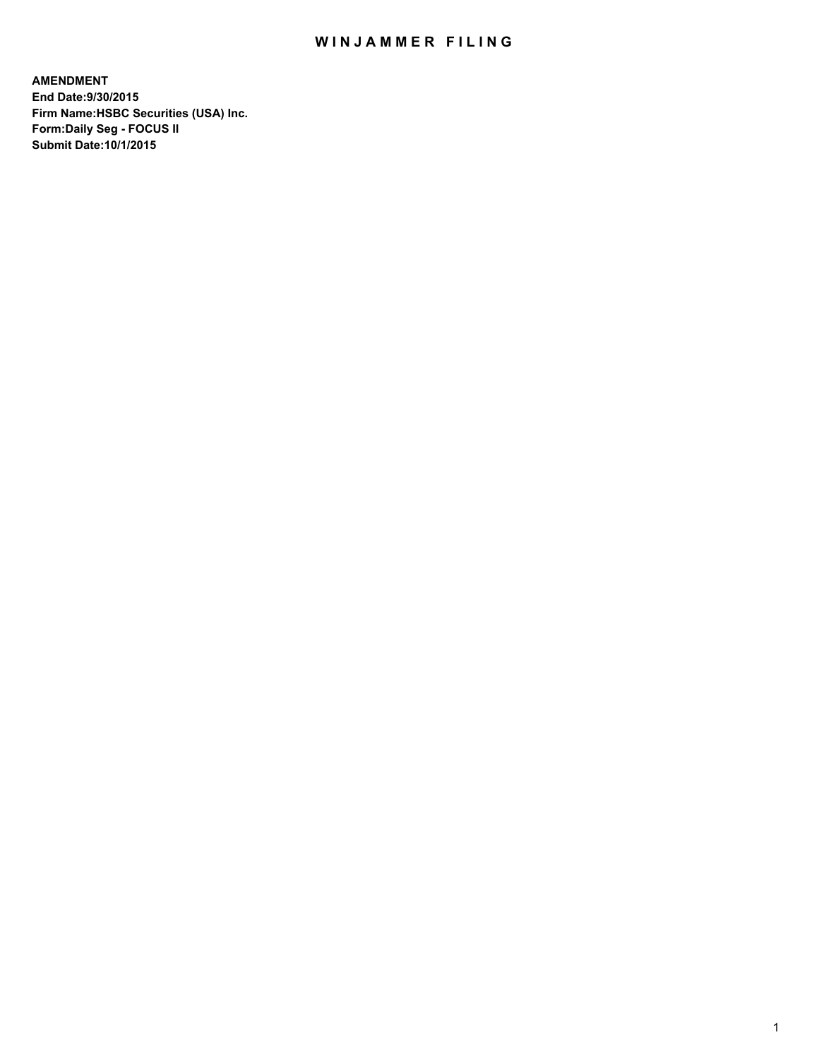## WIN JAMMER FILING

**AMENDMENT End Date:9/30/2015 Firm Name:HSBC Securities (USA) Inc. Form:Daily Seg - FOCUS II Submit Date:10/1/2015**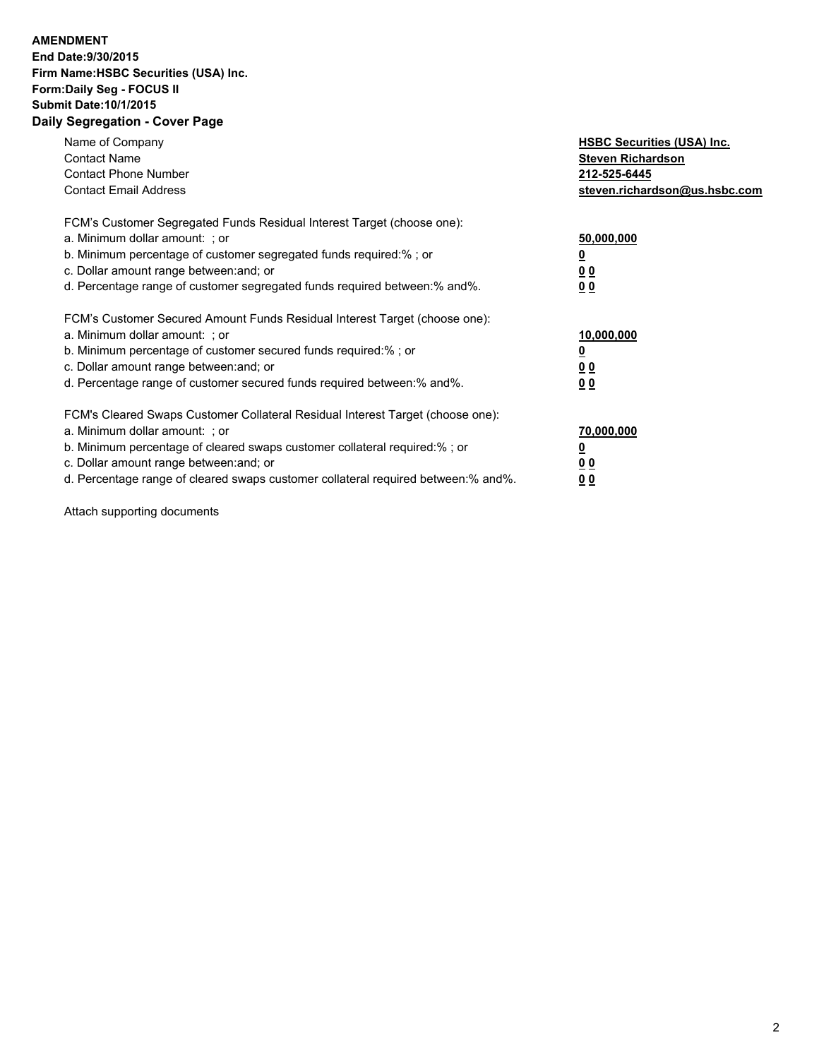## **AMENDMENT End Date:9/30/2015 Firm Name:HSBC Securities (USA) Inc. Form:Daily Seg - FOCUS II Submit Date:10/1/2015 Daily Segregation - Cover Page**

| Name of Company<br><b>Contact Name</b><br><b>Contact Phone Number</b><br><b>Contact Email Address</b>                                                                                                                                                                                                                         | <b>HSBC Securities (USA) Inc.</b><br><b>Steven Richardson</b><br>212-525-6445<br>steven.richardson@us.hsbc.com |
|-------------------------------------------------------------------------------------------------------------------------------------------------------------------------------------------------------------------------------------------------------------------------------------------------------------------------------|----------------------------------------------------------------------------------------------------------------|
| FCM's Customer Segregated Funds Residual Interest Target (choose one):<br>a. Minimum dollar amount: ; or<br>b. Minimum percentage of customer segregated funds required:%; or<br>c. Dollar amount range between: and; or<br>d. Percentage range of customer segregated funds required between:% and%.                         | 50,000,000<br><u>0</u><br>0 <sub>0</sub><br>0 <sub>0</sub>                                                     |
| FCM's Customer Secured Amount Funds Residual Interest Target (choose one):<br>a. Minimum dollar amount: ; or<br>b. Minimum percentage of customer secured funds required:%; or<br>c. Dollar amount range between: and; or<br>d. Percentage range of customer secured funds required between:% and%.                           | 10,000,000<br><u>0</u><br>0 <sub>0</sub><br>0 <sub>0</sub>                                                     |
| FCM's Cleared Swaps Customer Collateral Residual Interest Target (choose one):<br>a. Minimum dollar amount: ; or<br>b. Minimum percentage of cleared swaps customer collateral required:%; or<br>c. Dollar amount range between: and; or<br>d. Percentage range of cleared swaps customer collateral required between:% and%. | 70,000,000<br><u>0</u><br>0 <sub>0</sub><br>0 <sub>0</sub>                                                     |

Attach supporting documents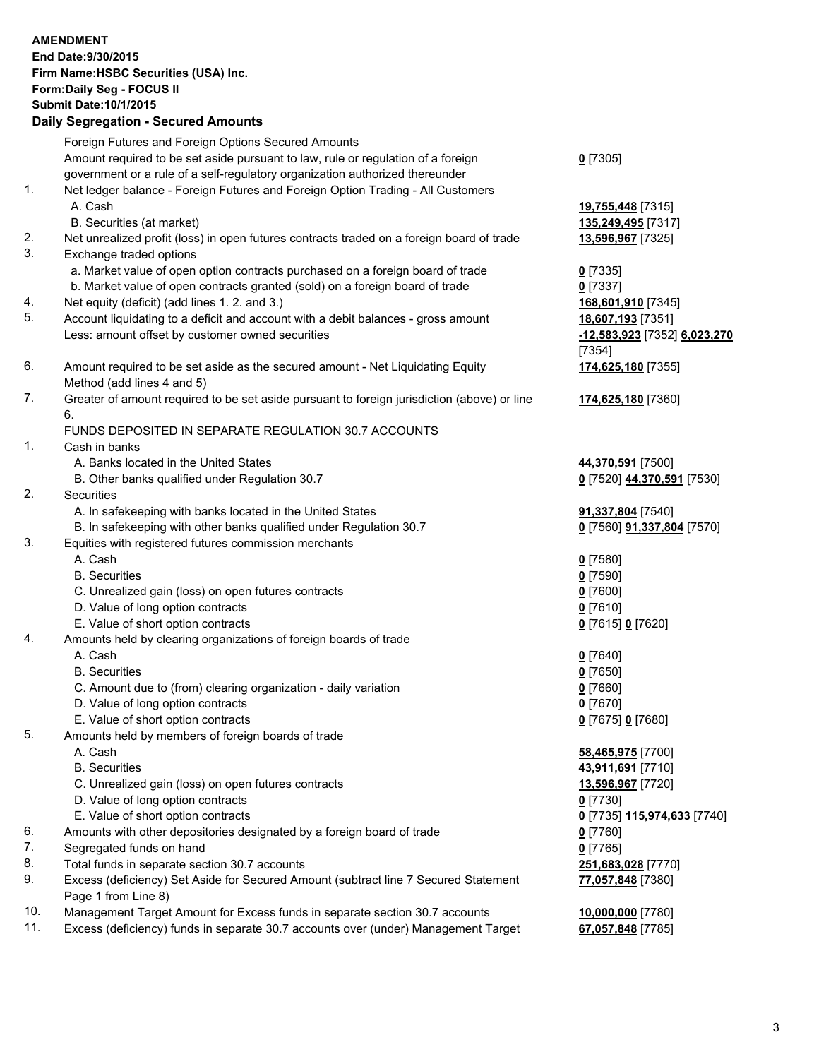| <b>AMENDMENT</b>              |                                                                                                   |                              |  |  |  |  |
|-------------------------------|---------------------------------------------------------------------------------------------------|------------------------------|--|--|--|--|
|                               | End Date: 9/30/2015                                                                               |                              |  |  |  |  |
|                               | Firm Name: HSBC Securities (USA) Inc.                                                             |                              |  |  |  |  |
| Form: Daily Seg - FOCUS II    |                                                                                                   |                              |  |  |  |  |
| <b>Submit Date: 10/1/2015</b> |                                                                                                   |                              |  |  |  |  |
|                               | <b>Daily Segregation - Secured Amounts</b>                                                        |                              |  |  |  |  |
|                               | Foreign Futures and Foreign Options Secured Amounts                                               |                              |  |  |  |  |
|                               | Amount required to be set aside pursuant to law, rule or regulation of a foreign                  | $0$ [7305]                   |  |  |  |  |
|                               | government or a rule of a self-regulatory organization authorized thereunder                      |                              |  |  |  |  |
| 1.                            | Net ledger balance - Foreign Futures and Foreign Option Trading - All Customers                   |                              |  |  |  |  |
|                               | A. Cash                                                                                           | 19,755,448 [7315]            |  |  |  |  |
|                               | B. Securities (at market)                                                                         | 135,249,495 [7317]           |  |  |  |  |
| 2.                            | Net unrealized profit (loss) in open futures contracts traded on a foreign board of trade         | 13,596,967 [7325]            |  |  |  |  |
| 3.                            | Exchange traded options                                                                           |                              |  |  |  |  |
|                               | a. Market value of open option contracts purchased on a foreign board of trade                    | $0$ [7335]                   |  |  |  |  |
|                               | b. Market value of open contracts granted (sold) on a foreign board of trade                      | $0$ [7337]                   |  |  |  |  |
| 4.                            | Net equity (deficit) (add lines 1.2. and 3.)                                                      | 168,601,910 [7345]           |  |  |  |  |
| 5.                            | Account liquidating to a deficit and account with a debit balances - gross amount                 | 18,607,193 [7351]            |  |  |  |  |
|                               | Less: amount offset by customer owned securities                                                  | -12,583,923 [7352] 6,023,270 |  |  |  |  |
|                               |                                                                                                   | [7354]                       |  |  |  |  |
| 6.                            | Amount required to be set aside as the secured amount - Net Liquidating Equity                    | 174,625,180 [7355]           |  |  |  |  |
| 7.                            | Method (add lines 4 and 5)                                                                        |                              |  |  |  |  |
|                               | Greater of amount required to be set aside pursuant to foreign jurisdiction (above) or line<br>6. | 174,625,180 [7360]           |  |  |  |  |
|                               | FUNDS DEPOSITED IN SEPARATE REGULATION 30.7 ACCOUNTS                                              |                              |  |  |  |  |
| 1.                            | Cash in banks                                                                                     |                              |  |  |  |  |
|                               | A. Banks located in the United States                                                             | 44,370,591 [7500]            |  |  |  |  |
|                               | B. Other banks qualified under Regulation 30.7                                                    | 0 [7520] 44,370,591 [7530]   |  |  |  |  |
| 2.                            | Securities                                                                                        |                              |  |  |  |  |
|                               | A. In safekeeping with banks located in the United States                                         | 91,337,804 [7540]            |  |  |  |  |
|                               | B. In safekeeping with other banks qualified under Regulation 30.7                                | 0 [7560] 91,337,804 [7570]   |  |  |  |  |
| 3.                            | Equities with registered futures commission merchants                                             |                              |  |  |  |  |
|                               | A. Cash                                                                                           | <u>0</u> [7580]              |  |  |  |  |
|                               | <b>B.</b> Securities                                                                              | $0$ [7590]                   |  |  |  |  |
|                               | C. Unrealized gain (loss) on open futures contracts                                               | $0$ [7600]                   |  |  |  |  |
|                               | D. Value of long option contracts                                                                 | $0$ [7610]                   |  |  |  |  |
|                               | E. Value of short option contracts                                                                | 0 [7615] 0 [7620]            |  |  |  |  |
| 4.                            | Amounts held by clearing organizations of foreign boards of trade                                 |                              |  |  |  |  |
|                               | A. Cash                                                                                           | $0$ [7640]                   |  |  |  |  |
|                               | <b>B.</b> Securities                                                                              | $0$ [7650]                   |  |  |  |  |
|                               | C. Amount due to (from) clearing organization - daily variation                                   | $0$ [7660]                   |  |  |  |  |
|                               | D. Value of long option contracts                                                                 | $0$ [7670]                   |  |  |  |  |
| 5.                            | E. Value of short option contracts<br>Amounts held by members of foreign boards of trade          | 0 [7675] 0 [7680]            |  |  |  |  |
|                               | A. Cash                                                                                           | 58,465,975 [7700]            |  |  |  |  |
|                               | <b>B.</b> Securities                                                                              | 43,911,691 [7710]            |  |  |  |  |
|                               | C. Unrealized gain (loss) on open futures contracts                                               | 13,596,967 [7720]            |  |  |  |  |
|                               | D. Value of long option contracts                                                                 | 0 [7730]                     |  |  |  |  |
|                               | E. Value of short option contracts                                                                | 0 [7735] 115,974,633 [7740]  |  |  |  |  |
| 6.                            | Amounts with other depositories designated by a foreign board of trade                            | <u>0</u> [7760]              |  |  |  |  |
| 7.                            | Segregated funds on hand                                                                          | $0$ [7765]                   |  |  |  |  |
| 8.                            | Total funds in separate section 30.7 accounts                                                     | 251,683,028 [7770]           |  |  |  |  |
| 9.                            | Excess (deficiency) Set Aside for Secured Amount (subtract line 7 Secured Statement               | 77,057,848 [7380]            |  |  |  |  |
|                               | Page 1 from Line 8)                                                                               |                              |  |  |  |  |
| 10.                           | Management Target Amount for Excess funds in separate section 30.7 accounts                       | 10,000,000 [7780]            |  |  |  |  |
|                               |                                                                                                   |                              |  |  |  |  |

11. Excess (deficiency) funds in separate 30.7 accounts over (under) Management Target **67,057,848** [7785]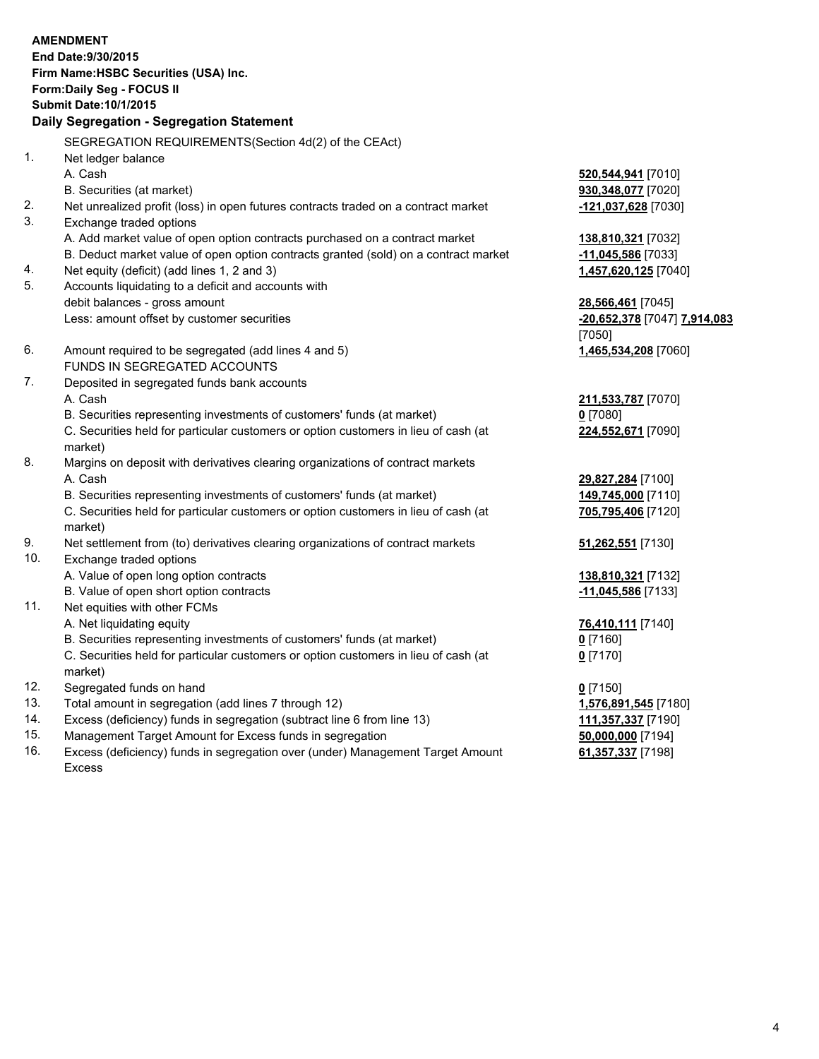## **AMENDMENT End Date:9/30/2015 Firm Name:HSBC Securities (USA) Inc. Form:Daily Seg - FOCUS II Submit Date:10/1/2015 Daily Segregation - Segregation Statement** SEGREGATION REQUIREMENTS(Section 4d(2) of the CEAct) 1. Net ledger balance A. Cash **520,544,941** [7010] B. Securities (at market) **930,348,077** [7020] 2. Net unrealized profit (loss) in open futures contracts traded on a contract market **-121,037,628** [7030] 3. Exchange traded options A. Add market value of open option contracts purchased on a contract market **138,810,321** [7032] B. Deduct market value of open option contracts granted (sold) on a contract market **-11,045,586** [7033] 4. Net equity (deficit) (add lines 1, 2 and 3) **1,457,620,125** [7040] 5. Accounts liquidating to a deficit and accounts with debit balances - gross amount **28,566,461** [7045] Less: amount offset by customer securities **-20,652,378** [7047] **7,914,083** [7050] 6. Amount required to be segregated (add lines 4 and 5) **1,465,534,208** [7060] FUNDS IN SEGREGATED ACCOUNTS 7. Deposited in segregated funds bank accounts A. Cash **211,533,787** [7070] B. Securities representing investments of customers' funds (at market) **0** [7080] C. Securities held for particular customers or option customers in lieu of cash (at market) **224,552,671** [7090] 8. Margins on deposit with derivatives clearing organizations of contract markets A. Cash **29,827,284** [7100] B. Securities representing investments of customers' funds (at market) **149,745,000** [7110] C. Securities held for particular customers or option customers in lieu of cash (at market) **705,795,406** [7120] 9. Net settlement from (to) derivatives clearing organizations of contract markets **51,262,551** [7130] 10. Exchange traded options A. Value of open long option contracts **138,810,321** [7132] B. Value of open short option contracts **-11,045,586** [7133] 11. Net equities with other FCMs A. Net liquidating equity **76,410,111** [7140] B. Securities representing investments of customers' funds (at market) **0** [7160] C. Securities held for particular customers or option customers in lieu of cash (at market) **0** [7170] 12. Segregated funds on hand **0** [7150] 13. Total amount in segregation (add lines 7 through 12) **1,576,891,545** [7180] 14. Excess (deficiency) funds in segregation (subtract line 6 from line 13) **111,357,337** [7190] 15. Management Target Amount for Excess funds in segregation **50,000,000** [7194]

16. Excess (deficiency) funds in segregation over (under) Management Target Amount Excess

**61,357,337** [7198]